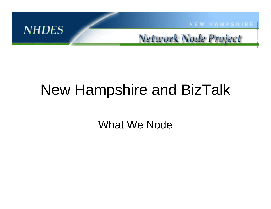

# New Hampshire and BizTalk

What We Node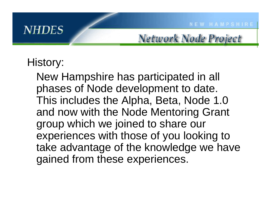## History:

New Hampshire has participated in all phases of Node development to date. This includes the Alpha, Beta, Node 1.0 and now with the Node Mentoring Grant group which we joined to share our experiences with those of you looking to take advantage of the knowledge we have gained from these experiences.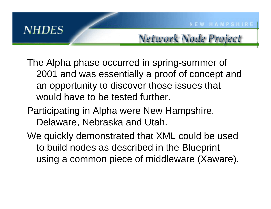Network Node Project

- The Alpha phase occurred in spring-summer of 2001 and was essentially a proof of concept and an opportunity to discover those issues that would have to be tested further.
- Participating in Alpha were New Hampshire, Delaware, Nebraska and Utah.
- We quickly demonstrated that XML could be used to build nodes as described in the Blueprint using a common piece of middleware (Xaware).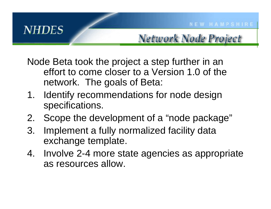Node Beta took the project a step further in an effort to come closer to a Version 1.0 of the network. The goals of Beta:

- 1. Identify recommendations for node design specifications.
- 2.Scope the development of a "node package"
- 3. Implement a fully normalized facility data exchange template.
- 4. Involve 2-4 more state agencies as appropriate as resources allow.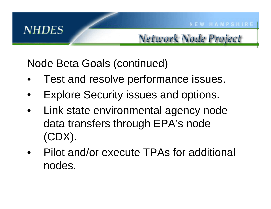Node Beta Goals (continued)

- •Test and resolve performance issues.
- •Explore Security issues and options.
- • Link state environmental agency node data transfers through EPA's node (CDX).
- •Pilot and/or execute TPAs for additional nodes.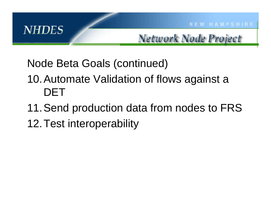Node Beta Goals (continued)

## 10.Automate Validation of flows against a DET

- 11.Send production data from nodes to FRS
- 12.Test interoperability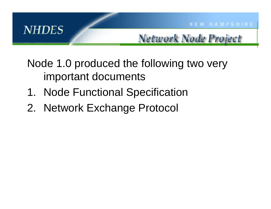## Node 1.0 produced the following two very important documents

- 1. Node Functional Specification
- 2. Network Exchange Protocol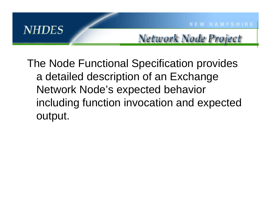Network Node Project

The Node Functional Specification provides a detailed description of an Exchange Network Node's expected behavior including function invocation and expected output.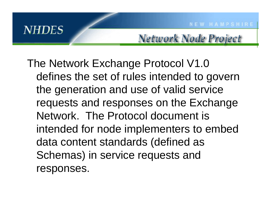The Network Exchange Protocol V1.0 defines the set of rules intended to govern the generation and use of valid service requests and responses on the Exchange Network. The Protocol document is intended for node implementers to embed data content standards (defined as Schemas) in service requests and responses.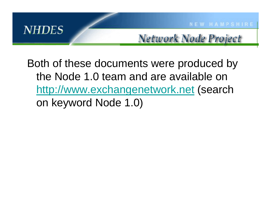

Network Node Project

Both of these documents were produced by the Node 1.0 team and are available on [http://www.exchangenetwork.net](http://www.exchangenetwork.net/) (search on keyword Node 1.0)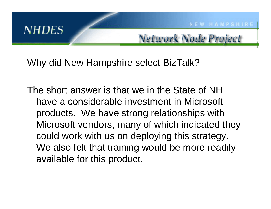Why did New Hampshire select BizTalk?

The short answer is that we in the State of NH have a considerable investment in Microsoft products. We have strong relationships with Microsoft vendors, many of which indicated they could work with us on deploying this strategy. We also felt that training would be more readily available for this product.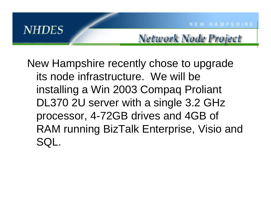Network Node Project

New Hampshire recently chose to upgrade its node infrastructure. We will be installing a Win 2003 Compaq Proliant DL370 2U server with a single 3.2 GHz processor, 4-72GB drives and 4GB of RAM running BizTalk Enterprise, Visio and SQL.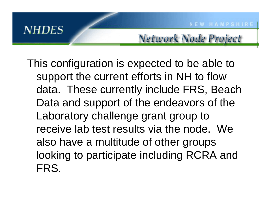Network Node Project

This configuration is expected to be able to support the current efforts in NH to flow data. These currently include FRS, Beach Data and support of the endeavors of the Laboratory challenge grant group to receive lab test results via the node. We also have a multitude of other groups looking to participate including RCRA and FRS.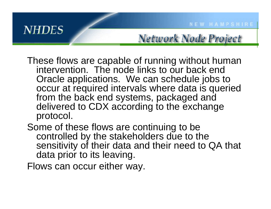**NEW HAMPSHIRE** 

These flows are capable of running without human intervention. The node links to our back end Oracle applications. We can schedule jobs to occur at required intervals where data is queried from the back end systems, packaged and delivered to CDX according to the exchange protocol.

Some of these flows are continuing to be controlled by the stakeholders due to the sensitivity of their data and their need to QA that data prior to its leaving.

Flows can occur either way.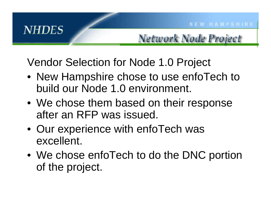Vendor Selection for Node 1.0 Project

- New Hampshire chose to use enfoTech to build our Node 1.0 environment.
- We chose them based on their response after an RFP was issued.
- Our experience with enfoTech was excellent.
- We chose enfoTech to do the DNC portion of the project.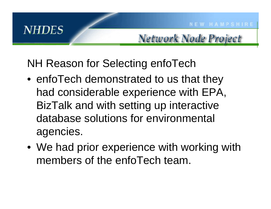Network Node Project

### NH Reason for Selecting enfoTech

- enfoTech demonstrated to us that they had considerable experience with EPA, BizTalk and with setting up interactive database solutions for environmental agencies.
- We had prior experience with working with members of the enfoTech team.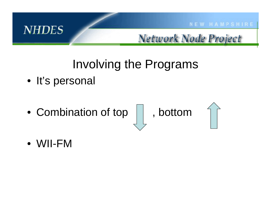

## Involving the Programs

- It's personal
- Combination of top | |, bottom



•WII-FM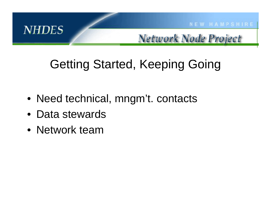

Network Node Project

# Getting Started, Keeping Going

- Need technical, mngm't. contacts
- •Data stewards
- Network team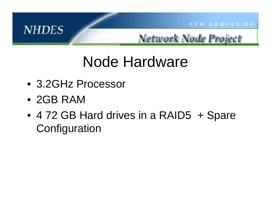

Network Node Project

# Node Hardware

- •3.2GHz Processor
- 2GB RAM
- 4 72 GB Hard drives in a RAID5 + Spare **Configuration**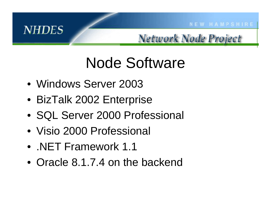

Network Node Project

# Node Software

- •Windows Server 2003
- BizTalk 2002 Enterprise
- •SQL Server 2000 Professional
- Visio 2000 Professional
- .NET Framework 1.1
- Oracle 8.1.7.4 on the backend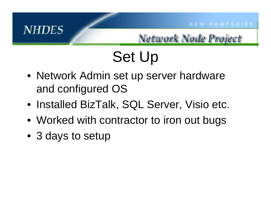Network Node Project

# Set Up

- Network Admin set up server hardware and configured OS
- Installed BizTalk, SQL Server, Visio etc.
- Worked with contractor to iron out bugs
- 3 days to setup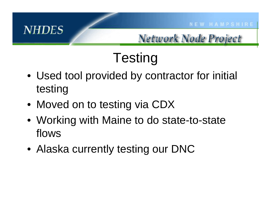#### Network Node Project

# **Testing**

- Used tool provided by contractor for initial testing
- Moved on to testing via CDX
- Working with Maine to do state-to-state flows
- Alaska currently testing our DNC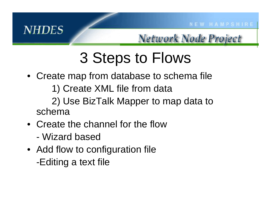Network Node Project

# 3 Steps to Flows

- Create map from database to schema file 1) Create XML file from data 2) Use BizTalk Mapper to map data to schema
- •Create the channel for the flow
	- -Wizard based
- Add flow to configuration file -Editing a text file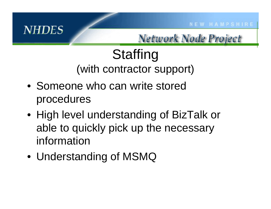#### Network Node Project

# **Staffing** (with contractor support)

- Someone who can write stored procedures
- High level understanding of BizTalk or able to quickly pick up the necessary information
- Understanding of MSMQ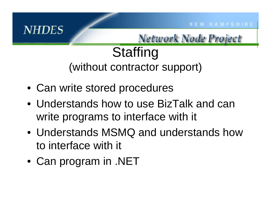Network Node Project

# **Staffing** (without contractor support)

- Can write stored procedures
- Understands how to use BizTalk and can write programs to interface with it
- Understands MSMQ and understands how to interface with it
- Can program in .NET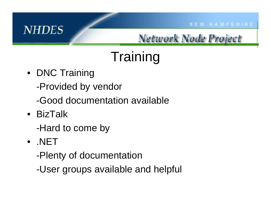### Network Node Project

# **Training**

- DNC Training
	- -Provided by vendor
	- -Good documentation available
- BizTalk
	- -Hard to come by
- .NET
	- -Plenty of documentation
	- -User groups available and helpful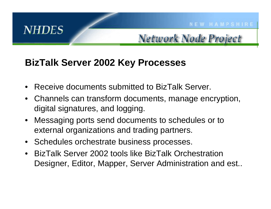#### **BizTalk Server 2002 Key Processes**

- •Receive documents submitted to BizTalk Server.
- •Channels can transform documents, manage encryption, digital signatures, and logging.
- $\bullet$ Messaging ports send documents to schedules or to external organizations and trading partners.
- $\bullet$ Schedules orchestrate business processes.
- •BizTalk Server 2002 tools like BizTalk Orchestration Designer, Editor, Mapper, Server Administration and est..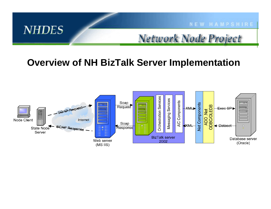

Network Node Project

#### **Overview of NH BizTalk Server Implementation**

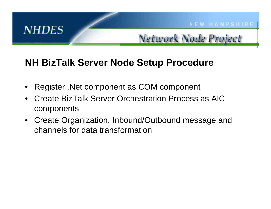#### **NH BizTalk Server Node Setup Procedure**

- •Register .Net component as COM component
- •Create BizTalk Server Orchestration Process as AIC components
- $\bullet$ Create Organization, Inbound/Outbound message and channels for data transformation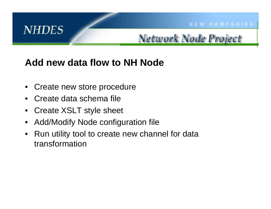

#### **Add new data flow to NH Node**

- •Create new store procedure
- •Create data schema file
- •Create XSLT style sheet
- •Add/Modify Node configuration file
- •Run utility tool to create new channel for data transformation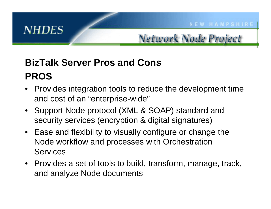

## **BizTalk Server Pros and ConsPROS**

- •Provides integration tools to reduce the development time and cost of an "enterprise-wide"
- Support Node protocol (XML & SOAP) standard and security services (encryption & digital signatures)
- Ease and flexibility to visually configure or change the Node workflow and processes with Orchestration Services
- Provides a set of tools to build, transform, manage, track, and analyze Node documents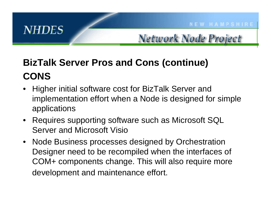## **BizTalk Server Pros and Cons (continue) CONS**

- Higher initial software cost for BizTalk Server and implementation effort when a Node is designed for simple applications
- Requires supporting software such as Microsoft SQL Server and Microsoft Visio
- $\bullet$ Node Business processes designed by Orchestration Designer need to be recompiled when the interfaces of COM+ components change. This will also require more development and maintenance effort.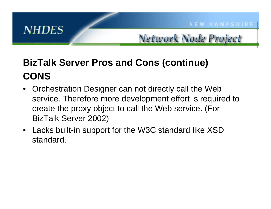## **BizTalk Server Pros and Cons (continue) CONS**

- •Orchestration Designer can not directly call the Web service. Therefore more development effort is required to create the proxy object to call the Web service. (For BizTalk Server 2002)
- Lacks built-in support for the W3C standard like XSD standard.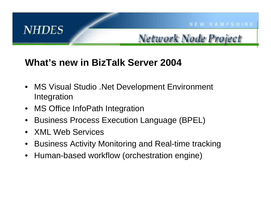

#### **What's new in BizTalk Server 2004**

- •MS Visual Studio .Net Development Environment Integration
- •MS Office InfoPath Integration
- •Business Process Execution Language (BPEL)
- $\bullet$ XML Web Services
- •Business Activity Monitoring and Real-time tracking
- •Human-based workflow (orchestration engine)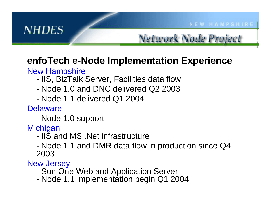#### **enfoTech e-Node Implementation Experience**

#### New Hampshire

- -- IIS, BizTalk Server, Facilities data flow
- Node 1.0 and DNC delivered Q2 2003
- -Node 1.1 delivered Q1 2004

Delaware

- Node 1.0 support

**Michigan** 

- IIS and MS .Net infrastructure
- Node 1.1 and DMR data flow in production since Q4 2003

New Jersey

- Sun One Web and Application Server
- Node 1.1 implementation begin Q1 2004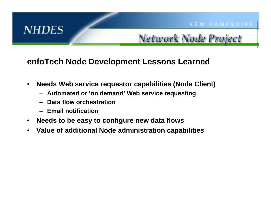#### **enfoTech Node Development Lessons Learned**

- • **Needs Web service requestor capabilities (Node Client)**
	- **Automated or 'on demand' Web service requesting**
	- **Data flow orchestration**
	- **Email notification**
- •**Needs to be easy to configure new data flows**
- •**Value of additional Node administration capabilities**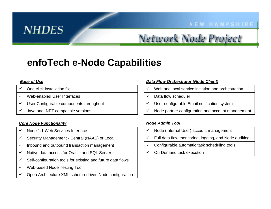#### **NEW HAMPSHIRE**

#### Network Node Project

#### **enfoTech e-Node Capabilities**

#### *Ease of Use*

- $\checkmark$  $\checkmark$  One click installation file
- $\checkmark$ Web-enabled User Interfaces
- $\checkmark$ User Configurable c omponent s t hroughout
- $\checkmark$  $\checkmark$  Java and .NET compatible versions

#### *Core Node Functionality*

- $\checkmark$  $\checkmark$  Node 1.1 Web Services Interface
- $\checkmark$ Security Management - Central (NAAS) or Local
- $\checkmark$ Inbound and outbound transaction management
- $\checkmark$  $\checkmark$  Native data access for Oracle and SQL Server
- $\checkmark$  $\checkmark$  Self-configuration tools for existing and future data flows
- $\checkmark$ Web-based Node Testing Tool
- $\checkmark$  $\checkmark$  Open Architecture XML schema-driven Node configuration

#### *Data Flow Orchestrator (Node Client)*

- $\checkmark$  $\checkmark$  Web and local service initiation and orchestration
- $\checkmark$ Data flow scheduler
- $\checkmark$  $\checkmark$  User-configurable Email notification system
- $\checkmark$  $\checkmark$  Node partner configuration and account management

#### *Node Admin Tool*

- $\checkmark$ Node (Internal User) account management
- $\checkmark$  $\checkmark$  Full data flow monitoring, logging, and Node auditing
- $\checkmark$ Configura ble a utomatic task sche d uling tools
- $\checkmark$ On-Demand task execution